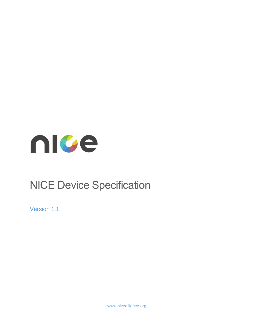

# NICE Device Specification

Version 1.1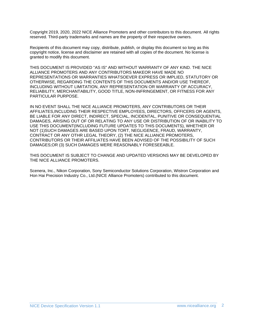Copyright 2019, 2020, 2022 NICE Alliance Promoters and other contributors to this document. All rights reserved. Third-party trademarks and names are the property of their respective owners.

Recipients of this document may copy, distribute, publish, or display this document so long as this copyright notice, license and disclaimer are retained with all copies of the document. No license is granted to modify this document.

THIS DOCUMENT IS PROVIDED "AS IS" AND WITHOUT WARRANTY OF ANY KIND. THE NICE ALLIANCE PROMOTERS AND ANY CONTRIBUTORS MAKEOR HAVE MADE NO REPRESENTATIONS OR WARRANTIES WHATSOEVER EXPRESS OR IMPLIED, STATUTORY OR OTHERWISE, REGARDING THE CONTENTS OF THIS DOCUMENTS AND/OR USE THEREOF, INCLUDING WITHOUT LIMITATION, ANY REPRESENTATION OR WARRANTY OF ACCURACY, RELIABILITY, MERCHANTABILITY, GOOD TITLE, NON-INFRINGEMENT, OR FITNESS FOR ANY PARTICULAR PURPOSE.

IN NO EVENT SHALL THE NICE ALLIANCE PROMOTERS, ANY CONTRIBUTORS OR THEIR AFFILIATES,INCLUDING THEIR RESPECTIVE EMPLOYEES, DIRECTORS, OFFICERS OR AGENTS, BE LIABLE FOR ANY DIRECT, INDIRECT, SPECIAL, INCIDENTAL, PUNITIVE OR CONSEQUENTIAL DAMAGES, ARISING OUT OF OR RELATING TO ANY USE OR DISTRIBUTION OF OR INABILITY TO USE THIS DOCUMENT(INCLUDING FUTURE UPDATES TO THIS DOCUMENTS), WHETHER OR NOT (1)SUCH DAMAGES ARE BASED UPON TORT, NEGLIGENCE, FRAUD, WARRANTY, CONTRACT OR ANY OTHR LEGAL THEORY, (2) THE NICE ALLIANCE PROMOTERS, CONTRIBUTORS OR THEIR AFFILIATES HAVE BEEN ADVISED OF THE POSSIBILITY OF SUCH DAMAGES;OR (3) SUCH DAMAGES WERE REASONABLY FORESEEABLE.

THIS DOCUMENT IS SUBJECT TO CHANGE AND UPDATED VERSIONS MAY BE DEVELOPED BY THE NICE ALLIANCE PROMOTERS.

Scenera, Inc., Nikon Corporation, Sony Semiconductor Solutions Corporation, Wistron Corporation and Hon Hai Precision Industry Co., Ltd.(NICE Alliance Promoters) contributed to this document.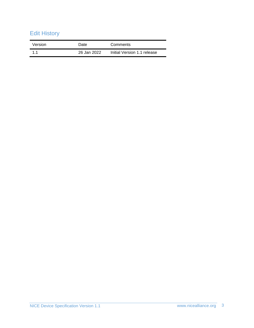# Edit History

| Version | Date        | Comments                    |
|---------|-------------|-----------------------------|
| 11      | 26 Jan 2022 | Initial Version 1.1 release |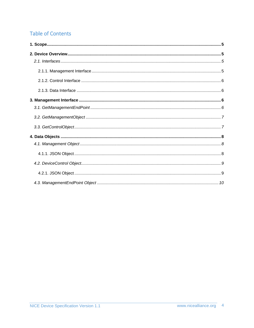# **Table of Contents**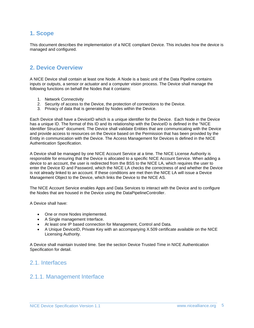### <span id="page-4-0"></span>**1. Scope**

This document describes the implementation of a NICE compliant Device. This includes how the device is managed and configured.

### <span id="page-4-1"></span>**2. Device Overview**

A NICE Device shall contain at least one Node. A Node is a basic unit of the Data Pipeline contains inputs or outputs, a sensor or actuator and a computer vision process. The Device shall manage the following functions on behalf the Nodes that it contains:

- 1. Network Connectivity
- 2. Security of access to the Device, the protection of connections to the Device.
- 3. Privacy of data that is generated by Nodes within the Device.

Each Device shall have a DeviceID which is a unique identifier for the Device. Each Node in the Device has a unique ID. The format of this ID and its relationship with the DeviceID is defined in the "NICE Identifier Structure" document. The Device shall validate Entities that are communicating with the Device and provide access to resources on the Device based on the Permission that has been provided by the Entity in communication with the Device. The Access Management for Devices is defined in the NICE Authentication Specification.

A Device shall be managed by one NICE Account Service at a time. The NICE License Authority is responsible for ensuring that the Device is allocated to a specific NICE Account Service. When adding a device to an account, the user is redirected from the BSS to the NICE LA, which requires the user to enter the Device ID and Password, which the NICE LA checks the correctness of and whether the Device is not already linked to an account. If these conditions are met then the NICE LA will issue a Device Management Object to the Device, which links the Device to the NICE AS.

The NICE Account Service enables Apps and Data Services to interact with the Device and to configure the Nodes that are housed in the Device using the DataPipelineController.

A Device shall have:

- One or more Nodes implemented.
- A Single management Interface.
- At least one IP based connection for Management, Control and Data.
- A Unique DeviceID, Private Key with an accompanying X.509 certificate available on the NICE Licensing Authority.

A Device shall maintain trusted time. See the section Device Trusted Time in NICE Authentication Specification for detail.

### <span id="page-4-3"></span><span id="page-4-2"></span>2.1. Interfaces

### 2.1.1. Management Interface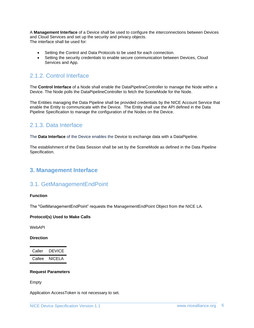A **Management Interface** of a Device shall be used to configure the interconnections between Devices and Cloud Services and set up the security and privacy objects. The interface shall be used for:

- Setting the Control and Data Protocols to be used for each connection.
- Setting the security credentials to enable secure communication between Devices, Cloud Services and App.

### <span id="page-5-0"></span>2.1.2. Control Interface

The **Control Interface** of a Node shall enable the DataPipelineController to manage the Node within a Device. The Node polls the DataPipelineController to fetch the SceneMode for the Node.

The Entities managing the Data Pipeline shall be provided credentials by the NICE Account Service that enable the Entity to communicate with the Device. The Entity shall use the API defined in the Data Pipeline Specification to manage the configuration of the Nodes on the Device.

### <span id="page-5-1"></span>2.1.3. Data Interface

The **Data Interface** of the Device enables the Device to exchange data with a DataPipeline.

The establishment of the Data Session shall be set by the SceneMode as defined in the Data Pipeline Specification.

### <span id="page-5-3"></span><span id="page-5-2"></span>**3. Management Interface**

### 3.1. GetManagementEndPoint

#### **Function**

The "GetManagementEndPoint" requests the ManagementEndPoint Object from the NICE LA.

#### **Protocol(s) Used to Make Calls**

WebAPI

#### **Direction**

| Caller | <b>DEVICE</b> |
|--------|---------------|
| Callee | NICELA        |

#### **Request Parameters**

Empty

Application AccessToken is not necessary to set.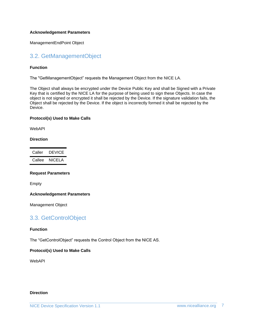#### **Acknowledgement Parameters**

ManagementEndPoint Object

### <span id="page-6-0"></span>3.2. GetManagementObject

#### **Function**

The "GetManagementObject" requests the Management Object from the NICE LA.

The Object shall always be encrypted under the Device Public Key and shall be Signed with a Private Key that is certified by the NICE LA for the purpose of being used to sign these Objects. In case the object is not signed or encrypted it shall be rejected by the Device. If the signature validation fails, the Object shall be rejected by the Device. If the object is incorrectly formed it shall be rejected by the Device.

#### **Protocol(s) Used to Make Calls**

WebAPI

#### **Direction**

| Caller | <b>DEVICE</b> |
|--------|---------------|
| Callee | NICELA        |

#### **Request Parameters**

Empty

#### **Acknowledgement Parameters**

Management Object

### <span id="page-6-1"></span>3.3. GetControlObject

#### **Function**

The "GetControlObject" requests the Control Object from the NICE AS.

#### **Protocol(s) Used to Make Calls**

WebAPI

#### **Direction**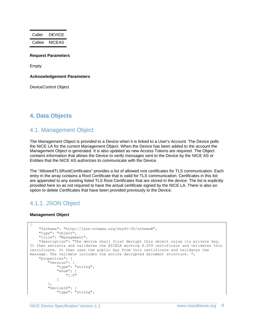Caller DEVICE Callee NICEAS

#### **Request Parameters**

Empty

**Acknowledgement Parameters**

DeviceControl Object

### <span id="page-7-1"></span><span id="page-7-0"></span>**4. Data Objects**

#### 4.1. Management Object

The Management Object is provided to a Device when it is linked to a User's Account. The Device polls the NICE LA for the current Management Object. When the Device has been added to the account the Management Object is generated. It is also updated as new Access Tokens are required. The Object contains information that allows the Device to verify messages sent to the Device by the NICE AS or Entities that the NICE AS authorizes to communicate with the Device.

The "AllowedTLSRootCertificates" provides a list of allowed root certificates for TLS communication. Each entry in the array contains a Root Certificate that is valid for TLS communication. Certificates in this list are appended to any existing listed TLS Root Certificates that are stored in the device. The list is explicitly provided here so as not required to have the actual certificate signed by the NICE LA. There is also an option to delete Certificates that have been provided previously to the Device.

### <span id="page-7-2"></span>4.1.1. JSON Object

#### **Management Object**

```
{
     "$schema": "http://json-schema.org/draft-06/schema#",
     "type": "object",
     "title": "Management",
     "description": "The device shall first decrypt this object using its private key. 
It then extracts and validates the NICELA working X.509 certificate and validates this 
certificate. It then uses the public key from this certificate and validates the 
message. The validate includes the entire decrypted document structure. ",
     "properties": {
         "Version": {
 "type": "string",
 "enum": [
                "1.0"
 ]
         },
         "DeviceID": {
            "type": "string",
```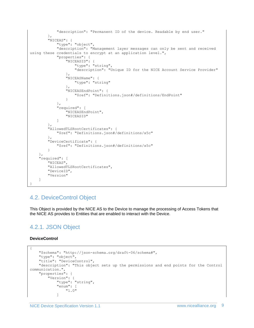```
 "description": "Permanent ID of the device. Readable by end user."
 },
 "NICEAS": {
             "type": "object",
             "description": "Management layer messages can only be sent and received 
using these credentials to encrypt at an application level.",
             "properties": {
                .<br>"NICEASID": {
                     "type": "string",
                    "description": "Unique ID for the NICE Account Service Provider"
                 },
                 "NICEASName": {
                     "type": "string"
 },
                 "NICEASEndPoint": {
                     "$ref": "Definitions.json#/definitions/EndPoint"
 }
            },
             "required": [
                 "NICEASEndPoint",
                 "NICEASID"
 ]
        },
         "AllowedTLSRootCertificates": {
             "$ref": "Definitions.json#/definitions/x5c"
 },
         "DeviceCertificate": {
             "$ref": "Definitions.json#/definitions/x5c"
        }
     },
     "required": [
         "NICEAS",
        "AllowedTLSRootCertificates",
        "DeviceID",
        "Version"
     ]
}
```
### <span id="page-8-0"></span>4.2. DeviceControl Object

This Object is provided by the NICE AS to the Device to manage the processing of Access Tokens that the NICE AS provides to Entities that are enabled to interact with the Device.

### <span id="page-8-1"></span>4.2.1. JSON Object

#### **DeviceControl**

```
{
    "$schema": "http://json-schema.org/draft-06/schema#",
    "type": "object",
    "title": "DeviceControl",
    "description": "This object sets up the permissions and end points for the Control 
communication.",
    "properties": {
 "Version": {
 "type": "string",
            "enum": [
                "1.0"
 ]
```